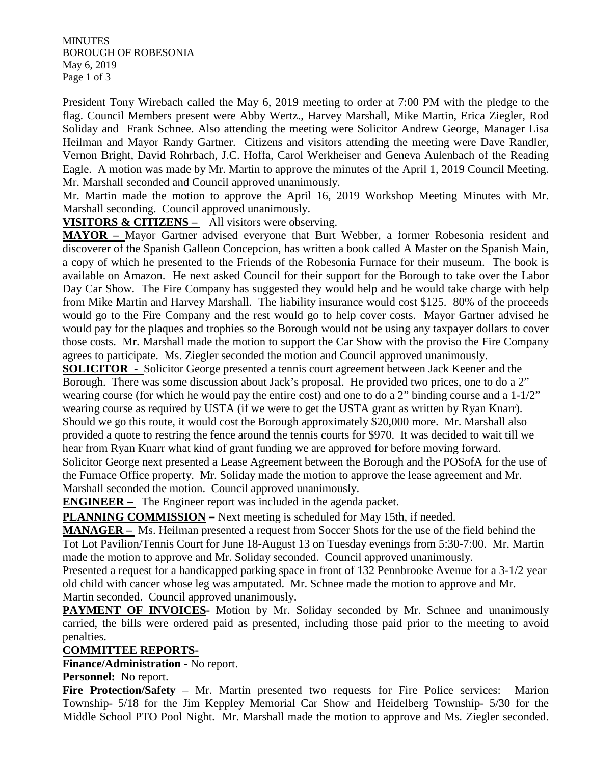**MINUTES** BOROUGH OF ROBESONIA May 6, 2019 Page 1 of 3

President Tony Wirebach called the May 6, 2019 meeting to order at 7:00 PM with the pledge to the flag. Council Members present were Abby Wertz., Harvey Marshall, Mike Martin, Erica Ziegler, Rod Soliday and Frank Schnee. Also attending the meeting were Solicitor Andrew George, Manager Lisa Heilman and Mayor Randy Gartner. Citizens and visitors attending the meeting were Dave Randler, Vernon Bright, David Rohrbach, J.C. Hoffa, Carol Werkheiser and Geneva Aulenbach of the Reading Eagle. A motion was made by Mr. Martin to approve the minutes of the April 1, 2019 Council Meeting. Mr. Marshall seconded and Council approved unanimously.

Mr. Martin made the motion to approve the April 16, 2019 Workshop Meeting Minutes with Mr. Marshall seconding. Council approved unanimously.

**VISITORS & CITIZENS –** All visitors were observing.

**MAYOR –** Mayor Gartner advised everyone that Burt Webber, a former Robesonia resident and discoverer of the Spanish Galleon Concepcion, has written a book called A Master on the Spanish Main, a copy of which he presented to the Friends of the Robesonia Furnace for their museum. The book is available on Amazon. He next asked Council for their support for the Borough to take over the Labor Day Car Show. The Fire Company has suggested they would help and he would take charge with help from Mike Martin and Harvey Marshall. The liability insurance would cost \$125. 80% of the proceeds would go to the Fire Company and the rest would go to help cover costs. Mayor Gartner advised he would pay for the plaques and trophies so the Borough would not be using any taxpayer dollars to cover those costs. Mr. Marshall made the motion to support the Car Show with the proviso the Fire Company agrees to participate. Ms. Ziegler seconded the motion and Council approved unanimously.

**SOLICITOR** - Solicitor George presented a tennis court agreement between Jack Keener and the Borough. There was some discussion about Jack's proposal. He provided two prices, one to do a 2" wearing course (for which he would pay the entire cost) and one to do a 2" binding course and a 1-1/2" wearing course as required by USTA (if we were to get the USTA grant as written by Ryan Knarr). Should we go this route, it would cost the Borough approximately \$20,000 more. Mr. Marshall also provided a quote to restring the fence around the tennis courts for \$970. It was decided to wait till we hear from Ryan Knarr what kind of grant funding we are approved for before moving forward. Solicitor George next presented a Lease Agreement between the Borough and the POSofA for the use of the Furnace Office property. Mr. Soliday made the motion to approve the lease agreement and Mr. Marshall seconded the motion. Council approved unanimously.

**ENGINEER** – The Engineer report was included in the agenda packet.

**PLANNING COMMISSION –** Next meeting is scheduled for May 15th, if needed.

**MANAGER –** Ms. Heilman presented a request from Soccer Shots for the use of the field behind the Tot Lot Pavilion/Tennis Court for June 18-August 13 on Tuesday evenings from 5:30-7:00. Mr. Martin made the motion to approve and Mr. Soliday seconded. Council approved unanimously.

Presented a request for a handicapped parking space in front of 132 Pennbrooke Avenue for a 3-1/2 year old child with cancer whose leg was amputated. Mr. Schnee made the motion to approve and Mr. Martin seconded. Council approved unanimously.

**PAYMENT OF INVOICES-** Motion by Mr. Soliday seconded by Mr. Schnee and unanimously carried, the bills were ordered paid as presented, including those paid prior to the meeting to avoid penalties.

#### **COMMITTEE REPORTS-**

**Finance/Administration** - No report.

**Personnel:** No report.

Fire Protection/Safety – Mr. Martin presented two requests for Fire Police services: Marion Township- 5/18 for the Jim Keppley Memorial Car Show and Heidelberg Township- 5/30 for the Middle School PTO Pool Night. Mr. Marshall made the motion to approve and Ms. Ziegler seconded.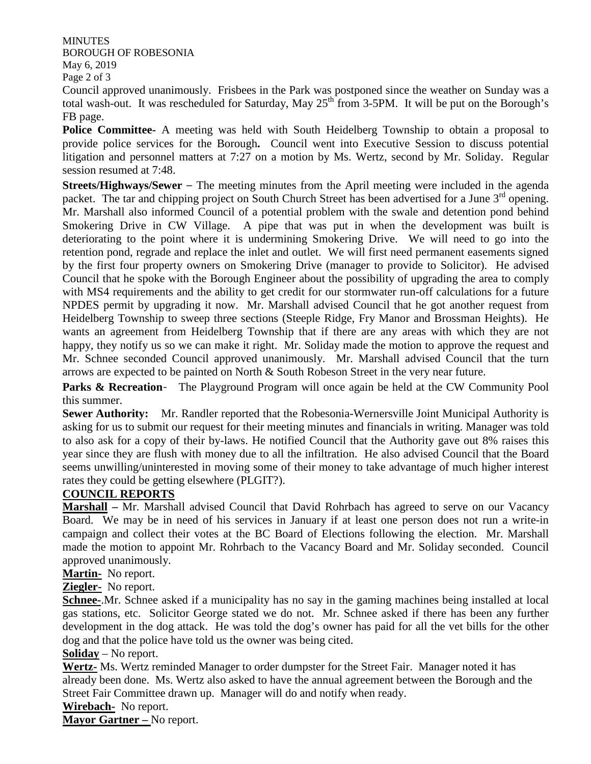**MINUTES** BOROUGH OF ROBESONIA May 6, 2019 Page 2 of 3

Council approved unanimously. Frisbees in the Park was postponed since the weather on Sunday was a total wash-out. It was rescheduled for Saturday, May  $25<sup>th</sup>$  from 3-5PM. It will be put on the Borough's FB page.

**Police Committee-** A meeting was held with South Heidelberg Township to obtain a proposal to provide police services for the Borough**.** Council went into Executive Session to discuss potential litigation and personnel matters at 7:27 on a motion by Ms. Wertz, second by Mr. Soliday. Regular session resumed at 7:48.

**Streets/Highways/Sewer** – The meeting minutes from the April meeting were included in the agenda packet. The tar and chipping project on South Church Street has been advertised for a June 3<sup>rd</sup> opening. Mr. Marshall also informed Council of a potential problem with the swale and detention pond behind Smokering Drive in CW Village. A pipe that was put in when the development was built is deteriorating to the point where it is undermining Smokering Drive. We will need to go into the retention pond, regrade and replace the inlet and outlet. We will first need permanent easements signed by the first four property owners on Smokering Drive (manager to provide to Solicitor). He advised Council that he spoke with the Borough Engineer about the possibility of upgrading the area to comply with MS4 requirements and the ability to get credit for our stormwater run-off calculations for a future NPDES permit by upgrading it now. Mr. Marshall advised Council that he got another request from Heidelberg Township to sweep three sections (Steeple Ridge, Fry Manor and Brossman Heights). He wants an agreement from Heidelberg Township that if there are any areas with which they are not happy, they notify us so we can make it right. Mr. Soliday made the motion to approve the request and Mr. Schnee seconded Council approved unanimously. Mr. Marshall advised Council that the turn arrows are expected to be painted on North & South Robeson Street in the very near future.

**Parks & Recreation-** The Playground Program will once again be held at the CW Community Pool this summer.

**Sewer Authority:** Mr. Randler reported that the Robesonia-Wernersville Joint Municipal Authority is asking for us to submit our request for their meeting minutes and financials in writing. Manager was told to also ask for a copy of their by-laws. He notified Council that the Authority gave out 8% raises this year since they are flush with money due to all the infiltration. He also advised Council that the Board seems unwilling/uninterested in moving some of their money to take advantage of much higher interest rates they could be getting elsewhere (PLGIT?).

### **COUNCIL REPORTS**

**Marshall –** Mr. Marshall advised Council that David Rohrbach has agreed to serve on our Vacancy Board. We may be in need of his services in January if at least one person does not run a write-in campaign and collect their votes at the BC Board of Elections following the election. Mr. Marshall made the motion to appoint Mr. Rohrbach to the Vacancy Board and Mr. Soliday seconded. Council approved unanimously.

**Martin-** No report.

**Ziegler-** No report.

**Schnee-**.Mr. Schnee asked if a municipality has no say in the gaming machines being installed at local gas stations, etc. Solicitor George stated we do not. Mr. Schnee asked if there has been any further development in the dog attack. He was told the dog's owner has paid for all the vet bills for the other dog and that the police have told us the owner was being cited.

#### **Soliday** – No report.

**Wertz-** Ms. Wertz reminded Manager to order dumpster for the Street Fair. Manager noted it has already been done. Ms. Wertz also asked to have the annual agreement between the Borough and the Street Fair Committee drawn up. Manager will do and notify when ready.

**Wirebach-** No report.

**Mayor Gartner –** No report.